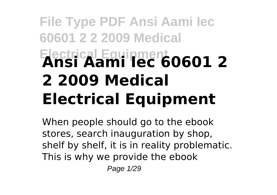# **File Type PDF Ansi Aami Iec 60601 2 2 2009 Medical Electrical Equipment Ansi Aami Iec 60601 2 2 2009 Medical Electrical Equipment**

When people should go to the ebook stores, search inauguration by shop, shelf by shelf, it is in reality problematic. This is why we provide the ebook Page 1/29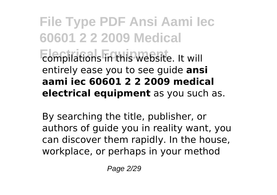**File Type PDF Ansi Aami Iec 60601 2 2 2009 Medical Example Equipment** Equipment Compilations in this website. It will entirely ease you to see guide **ansi aami iec 60601 2 2 2009 medical electrical equipment** as you such as.

By searching the title, publisher, or authors of guide you in reality want, you can discover them rapidly. In the house, workplace, or perhaps in your method

Page 2/29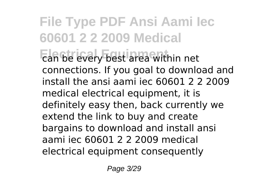**File Type PDF Ansi Aami Iec 60601 2 2 2009 Medical Electrical Equipment** can be every best area within net connections. If you goal to download and install the ansi aami iec 60601 2 2 2009 medical electrical equipment, it is definitely easy then, back currently we extend the link to buy and create bargains to download and install ansi aami iec 60601 2 2 2009 medical electrical equipment consequently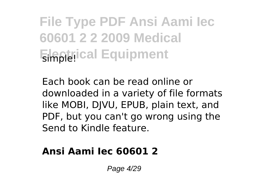Each book can be read online or downloaded in a variety of file formats like MOBI, DJVU, EPUB, plain text, and PDF, but you can't go wrong using the Send to Kindle feature.

### **Ansi Aami Iec 60601 2**

Page 4/29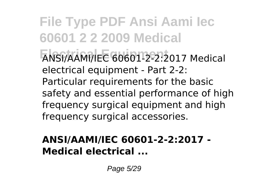**File Type PDF Ansi Aami Iec 60601 2 2 2009 Medical Electrical Equipment** ANSI/AAMI/IEC 60601-2-2:2017 Medical electrical equipment - Part 2-2: Particular requirements for the basic safety and essential performance of high frequency surgical equipment and high frequency surgical accessories.

### **ANSI/AAMI/IEC 60601-2-2:2017 - Medical electrical ...**

Page 5/29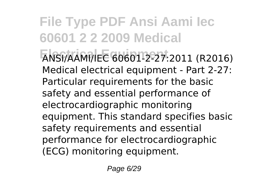**File Type PDF Ansi Aami Iec 60601 2 2 2009 Medical Electrical Equipment** ANSI/AAMI/IEC 60601-2-27:2011 (R2016) Medical electrical equipment - Part 2-27: Particular requirements for the basic safety and essential performance of electrocardiographic monitoring equipment. This standard specifies basic safety requirements and essential performance for electrocardiographic (ECG) monitoring equipment.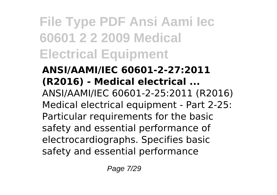**ANSI/AAMI/IEC 60601-2-27:2011 (R2016) - Medical electrical ...** ANSI/AAMI/IEC 60601-2-25:2011 (R2016) Medical electrical equipment - Part 2-25: Particular requirements for the basic safety and essential performance of electrocardiographs. Specifies basic safety and essential performance

Page 7/29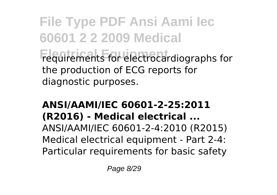**File Type PDF Ansi Aami Iec 60601 2 2 2009 Medical Electrical Equipment** requirements for electrocardiographs for the production of ECG reports for diagnostic purposes.

### **ANSI/AAMI/IEC 60601-2-25:2011 (R2016) - Medical electrical ...** ANSI/AAMI/IEC 60601-2-4:2010 (R2015) Medical electrical equipment - Part 2-4: Particular requirements for basic safety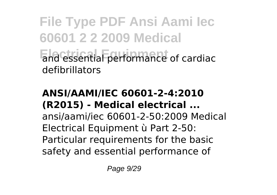**File Type PDF Ansi Aami Iec 60601 2 2 2009 Medical End essential performance of cardiac** defibrillators

### **ANSI/AAMI/IEC 60601-2-4:2010 (R2015) - Medical electrical ...** ansi/aami/iec 60601-2-50:2009 Medical Electrical Equipment ù Part 2-50: Particular requirements for the basic safety and essential performance of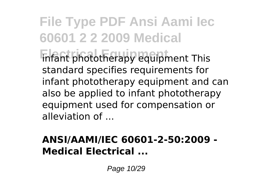**File Type PDF Ansi Aami Iec 60601 2 2 2009 Medical Electrical Equipment** infant phototherapy equipment This standard specifies requirements for infant phototherapy equipment and can also be applied to infant phototherapy equipment used for compensation or alleviation of ...

### **ANSI/AAMI/IEC 60601-2-50:2009 - Medical Electrical ...**

Page 10/29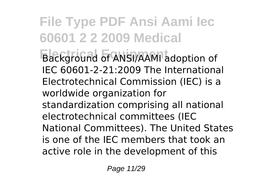**File Type PDF Ansi Aami Iec 60601 2 2 2009 Medical Electrical Equipment** Background of ANSI/AAMI adoption of IEC 60601-2-21:2009 The International Electrotechnical Commission (IEC) is a worldwide organization for standardization comprising all national electrotechnical committees (IEC National Committees). The United States is one of the IEC members that took an active role in the development of this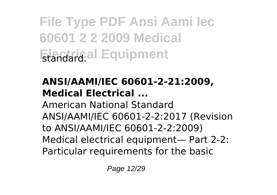### **ANSI/AAMI/IEC 60601-2-21:2009, Medical Electrical ...**

American National Standard ANSI/AAMI/IEC 60601-2-2:2017 (Revision to ANSI/AAMI/IEC 60601-2-2:2009) Medical electrical equipment— Part 2-2: Particular requirements for the basic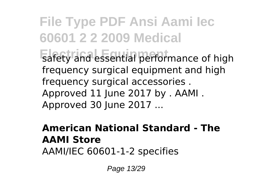**File Type PDF Ansi Aami Iec 60601 2 2 2009 Medical** Exafety and essential performance of high frequency surgical equipment and high frequency surgical accessories . Approved 11 June 2017 by . AAMI . Approved 30 June 2017 ...

#### **American National Standard - The AAMI Store** AAMI/IEC 60601-1-2 specifies

Page 13/29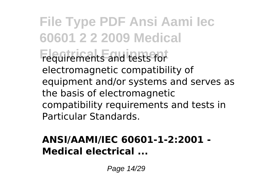**File Type PDF Ansi Aami Iec 60601 2 2 2009 Medical Electrical Equipment** requirements and tests for electromagnetic compatibility of equipment and/or systems and serves as the basis of electromagnetic compatibility requirements and tests in Particular Standards.

### **ANSI/AAMI/IEC 60601-1-2:2001 - Medical electrical ...**

Page 14/29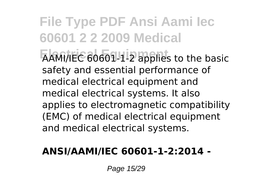**File Type PDF Ansi Aami Iec 60601 2 2 2009 Medical Electrical Equipment** AAMI/IEC 60601-1-2 applies to the basic safety and essential performance of medical electrical equipment and medical electrical systems. It also applies to electromagnetic compatibility (EMC) of medical electrical equipment and medical electrical systems.

#### **ANSI/AAMI/IEC 60601-1-2:2014 -**

Page 15/29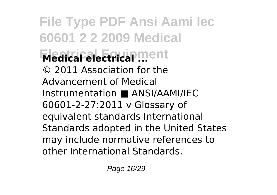**File Type PDF Ansi Aami Iec 60601 2 2 2009 Medical Electrical Equipment Medical electrical ...** © 2011 Association for the Advancement of Medical Instrumentation ■ ANSI/AAMI/IEC 60601-2-27:2011 v Glossary of equivalent standards International Standards adopted in the United States may include normative references to other International Standards.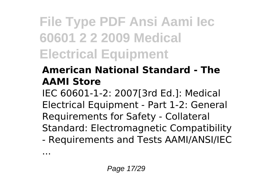### **American National Standard - The AAMI Store**

IEC 60601-1-2: 2007[3rd Ed.]: Medical Electrical Equipment - Part 1-2: General Requirements for Safety - Collateral Standard: Electromagnetic Compatibility - Requirements and Tests AAMI/ANSI/IEC

...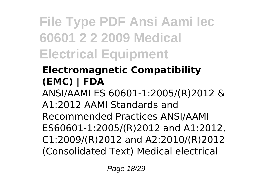### **Electromagnetic Compatibility (EMC) | FDA**

ANSI/AAMI ES 60601-1:2005/(R)2012 & A1:2012 AAMI Standards and Recommended Practices ANSI/AAMI ES60601-1:2005/(R)2012 and A1:2012, C1:2009/(R)2012 and A2:2010/(R)2012 (Consolidated Text) Medical electrical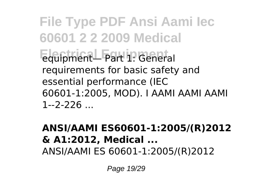**File Type PDF Ansi Aami Iec 60601 2 2 2009 Medical Electrical Equipment** equipment— Part 1: General requirements for basic safety and essential performance (IEC 60601-1:2005, MOD). I AAMI AAMI AAMI 1--2-226

#### **ANSI/AAMI ES60601-1:2005/(R)2012 & A1:2012, Medical ...** ANSI/AAMI ES 60601-1:2005/(R)2012

Page 19/29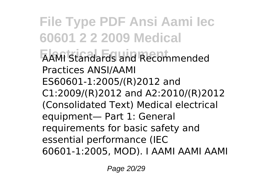**File Type PDF Ansi Aami Iec 60601 2 2 2009 Medical ELECTRICAL EXAMI** Standards and Recommended Practices ANSI/AAMI ES60601-1:2005/(R)2012 and C1:2009/(R)2012 and A2:2010/(R)2012 (Consolidated Text) Medical electrical equipment— Part 1: General requirements for basic safety and essential performance (IEC 60601-1:2005, MOD). I AAMI AAMI AAMI

Page 20/29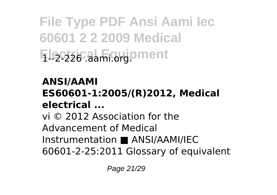**File Type PDF Ansi Aami Iec 60601 2 2 2009 Medical Electrical Equipment** 1--2-226 .aami.org.

### **ANSI/AAMI**

### **ES60601-1:2005/(R)2012, Medical electrical ...**

vi © 2012 Association for the Advancement of Medical Instrumentation ■ ANSI/AAMI/IEC 60601-2-25:2011 Glossary of equivalent

Page 21/29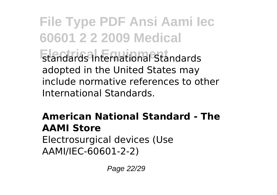**File Type PDF Ansi Aami Iec 60601 2 2 2009 Medical Electrical Equipment** standards International Standards adopted in the United States may include normative references to other International Standards.

#### **American National Standard - The AAMI Store** Electrosurgical devices (Use AAMI/IEC-60601-2-2)

Page 22/29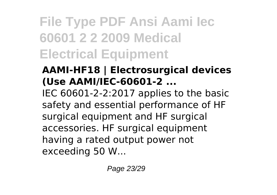### **AAMI-HF18 | Electrosurgical devices (Use AAMI/IEC-60601-2 ...**

IEC 60601-2-2:2017 applies to the basic safety and essential performance of HF surgical equipment and HF surgical accessories. HF surgical equipment having a rated output power not exceeding 50 W...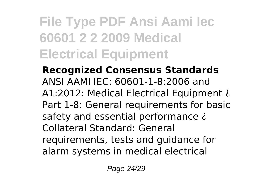**Recognized Consensus Standards** ANSI AAMI IEC: 60601-1-8:2006 and A1:2012: Medical Electrical Equipment ¿ Part 1-8: General requirements for basic safety and essential performance  $\lambda$ Collateral Standard: General requirements, tests and guidance for alarm systems in medical electrical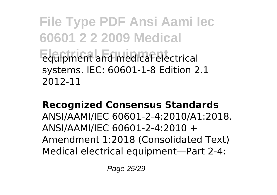**File Type PDF Ansi Aami Iec 60601 2 2 2009 Medical Electrical Equipment** equipment and medical electrical systems. IEC: 60601-1-8 Edition 2.1 2012-11

**Recognized Consensus Standards** ANSI/AAMI/IEC 60601-2-4:2010/A1:2018. ANSI/AAMI/IEC 60601-2-4:2010 + Amendment 1:2018 (Consolidated Text) Medical electrical equipment—Part 2-4:

Page 25/29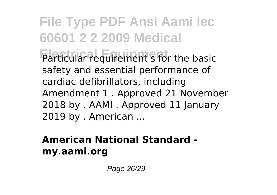**File Type PDF Ansi Aami Iec 60601 2 2 2009 Medical Electrical Equipment** Particular requirement s for the basic safety and essential performance of cardiac defibrillators, including Amendment 1 . Approved 21 November 2018 by . AAMI . Approved 11 January 2019 by . American ...

### **American National Standard my.aami.org**

Page 26/29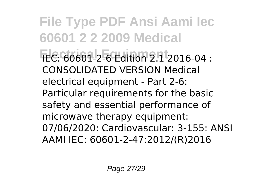**File Type PDF Ansi Aami Iec 60601 2 2 2009 Medical Electrical Equipment** IEC: 60601-2-6 Edition 2.1 2016-04 : CONSOLIDATED VERSION Medical electrical equipment - Part 2-6: Particular requirements for the basic safety and essential performance of microwave therapy equipment: 07/06/2020: Cardiovascular: 3-155: ANSI AAMI IEC: 60601-2-47:2012/(R)2016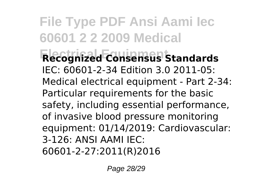**File Type PDF Ansi Aami Iec 60601 2 2 2009 Medical Electrical Equipment Recognized Consensus Standards** IEC: 60601-2-34 Edition 3.0 2011-05: Medical electrical equipment - Part 2-34: Particular requirements for the basic safety, including essential performance, of invasive blood pressure monitoring equipment: 01/14/2019: Cardiovascular: 3-126: ANSI AAMI IEC: 60601-2-27:2011(R)2016

Page 28/29